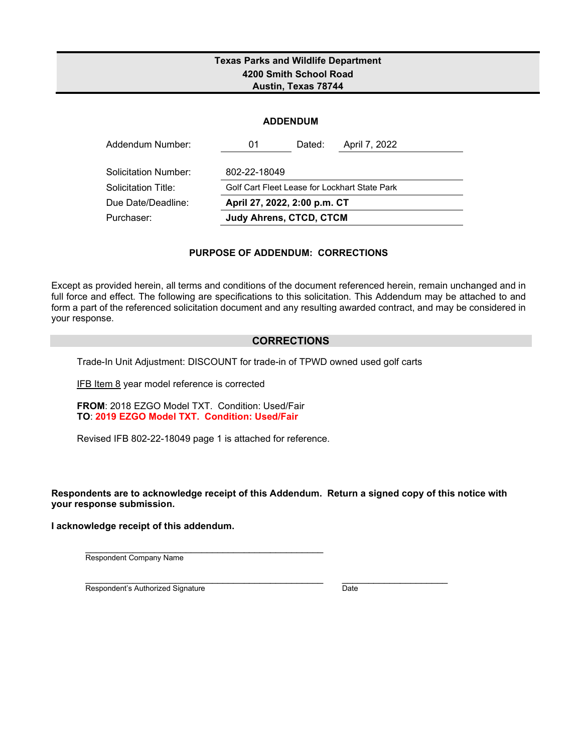### **Texas Parks and Wildlife Department 4200 Smith School Road Austin, Texas 78744**

|  | <b>ADDENDUM</b> |
|--|-----------------|

| Addendum Number:     | 01                             | Dated: | April 7, 2022                                 |  |  |  |  |  |
|----------------------|--------------------------------|--------|-----------------------------------------------|--|--|--|--|--|
| Solicitation Number: | 802-22-18049                   |        |                                               |  |  |  |  |  |
| Solicitation Title:  |                                |        | Golf Cart Fleet Lease for Lockhart State Park |  |  |  |  |  |
| Due Date/Deadline:   | April 27, 2022, 2:00 p.m. CT   |        |                                               |  |  |  |  |  |
| Purchaser:           | <b>Judy Ahrens, CTCD, CTCM</b> |        |                                               |  |  |  |  |  |

#### **PURPOSE OF ADDENDUM: CORRECTIONS**

Except as provided herein, all terms and conditions of the document referenced herein, remain unchanged and in full force and effect. The following are specifications to this solicitation. This Addendum may be attached to and form a part of the referenced solicitation document and any resulting awarded contract, and may be considered in your response.

#### **CORRECTIONS**

Trade-In Unit Adjustment: DISCOUNT for trade-in of TPWD owned used golf carts

IFB Item 8 year model reference is corrected

**FROM**: 2018 EZGO Model TXT. Condition: Used/Fair **TO**: **2019 EZGO Model TXT. Condition: Used/Fair**

Revised IFB 802-22-18049 page 1 is attached for reference.

**Respondents are to acknowledge receipt of this Addendum. Return a signed copy of this notice with your response submission.** 

**I acknowledge receipt of this addendum.**

\_\_\_\_\_\_\_\_\_\_\_\_\_\_\_\_\_\_\_\_\_\_\_\_\_\_\_\_\_\_\_\_\_\_\_\_\_\_\_\_\_\_\_\_\_ Respondent Company Name

\_\_\_\_\_\_\_\_\_\_\_\_\_\_\_\_\_\_\_\_\_\_\_\_\_\_\_\_\_\_\_\_\_\_\_\_\_\_\_\_\_\_\_\_\_ \_\_\_\_\_\_\_\_\_\_\_\_\_\_\_\_\_\_\_\_ Respondent's Authorized Signature Date